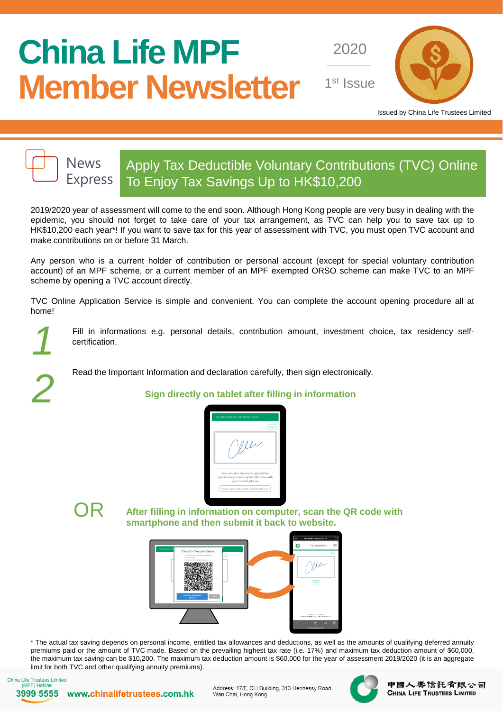# **China Life MPF Member Newsletter**

2020

1<sup>st</sup> Issue



Issued by China Life Trustees Limited



## Apply Tax Deductible Voluntary Contributions (TVC) Online Express To Enjoy Tax Savings Up to HK\$10,200

2019/2020 year of assessment will come to the end soon. Although Hong Kong people are very busy in dealing with the epidemic, you should not forget to take care of your tax arrangement, as TVC can help you to save tax up to HK\$10,200 each year\*! If you want to save tax for this year of assessment with TVC, you must open TVC account and make contributions on or before 31 March.

Any person who is a current holder of contribution or personal account (except for special voluntary contribution account) of an MPF scheme, or a current member of an MPF exempted ORSO scheme can make TVC to an MPF scheme by opening a TVC account directly.

TVC Online Application Service is simple and convenient. You can complete the account opening procedure all at home!

*1*

Fill in informations e.g. personal details, contribution amount, investment choice, tax residency selfcertification.

Read the Important Information and declaration carefully, then sign electronically.

### *2* **Sign directly on tablet after filling in information**





OR **After filling in information on computer, scan the QR code with smartphone and then submit it back to website.**



\* The actual tax saving depends on personal income, entitled tax allowances and deductions, as well as the amounts of qualifying deferred annuity premiums paid or the amount of TVC made. Based on the prevailing highest tax rate (i.e. 17%) and maximum tax deduction amount of \$60,000, the maximum tax saving can be \$10,200. The maximum tax deduction amount is \$60,000 for the year of assessment 2019/2020 (it is an aggregate limit for both TVC and other qualifying annuity premiums).



3999 5555 www.chinalifetrustees.com.hk

Address: 17/F, CLI Building, 313 Hennessy Road, Wan Chai, Hong Kong



中國人壽信託有限公司 **CHINA LIFE TRUSTEES LIMITED**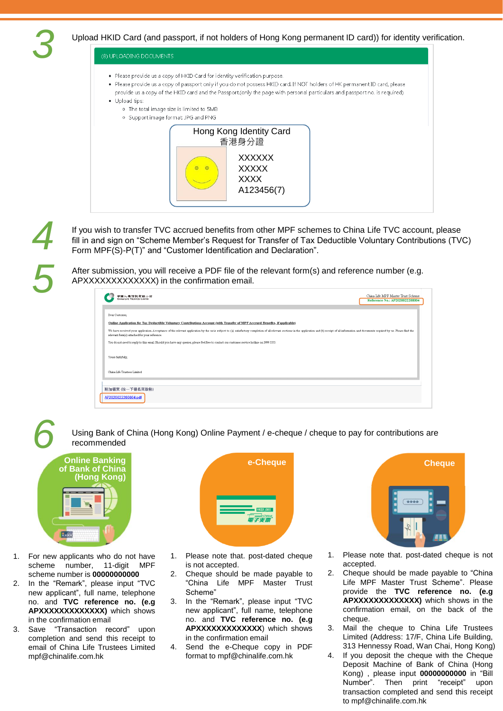Upload HKID Card (and passport, if not holders of Hong Kong permanent ID card)) for identity verification.

#### (8) UPLOADING DOCUMENTS

- . Please provide us a copy of HKID Card for identity verification purpose.
- . Please provide us a copy of passport only if you do not possess HKID card. If NOT holders of HK permanent ID card, please
	- provide us a copy of the HKID card and the Passport.(only the page with personal particulars and passport no. is required)
- · Upload tips:
	- o The total image size is limited to 5MB



*4 5*

If you wish to transfer TVC accrued benefits from other MPF schemes to China Life TVC account, please fill in and sign on "Scheme Member's Request for Transfer of Tax Deductible Voluntary Contributions (TVC) Form MPF(S)-P(T)" and "Customer Identification and Declaration".

After submission, you will receive a PDF file of the relevant form(s) and reference number (e.g. APXXXXXXXXXXXXX) in the confirmation email.

| 國人專信託肴賦公司<br><b>CHINA LIFE TRUSTEES LIMITED</b>                                                                                                                                                                                                                                 | China Life MPF Master Trust Scheme<br>Reference No.: AP2020022200004 |
|---------------------------------------------------------------------------------------------------------------------------------------------------------------------------------------------------------------------------------------------------------------------------------|----------------------------------------------------------------------|
| Dear Customer,                                                                                                                                                                                                                                                                  |                                                                      |
| Online Application for Tax Deductible Voluntary Contributions Account (with Transfer of MPF Accrued Benefits, if applicable)                                                                                                                                                    |                                                                      |
| We have received your application. Acceptance of the relevant application by the us is subject to: (a) satisfactory completion of all relevant sections in the application and (b) receipt of all information and documents re<br>relevant form(s) attached for your reference. |                                                                      |
| You do not need to reply to this email. Should you have any queries, please feel free to contact our customer service hotline on 3999 5555.                                                                                                                                     |                                                                      |
| Yours faithfully,                                                                                                                                                                                                                                                               |                                                                      |
| China Life Trustees Limited                                                                                                                                                                                                                                                     |                                                                      |
|                                                                                                                                                                                                                                                                                 |                                                                      |
| 附加檔案 (按一下檔名來啟動)                                                                                                                                                                                                                                                                 |                                                                      |
| AP2020022200004.pdf                                                                                                                                                                                                                                                             |                                                                      |

*6*

Using Bank of China (Hong Kong) Online Payment / e-cheque / cheque to pay for contributions are recommended



- 1. For new applicants who do not have scheme number, 11-digit MPF scheme number is **00000000000**
- 2. In the "Remark", please input "TVC new applicant", full name, telephone no. and **TVC reference no. (e.g APXXXXXXXXXXXXX)** which shows in the confirmation email
- 3. Save "Transaction record" upon completion and send this receipt to email of China Life Trustees Limited mpf@chinalife.com.hk



- 1. Please note that. post-dated cheque is not accepted.
- 2. Cheque should be made payable to "China Life MPF Master Trust Scheme"
- In the "Remark", please input "TVC new applicant", full name, telephone no. and **TVC reference no. (e.g APXXXXXXXXXXXXX**) which shows in the confirmation email
- 4. Send the e-Cheque copy in PDF format to mpf@chinalife.com.hk



- 1. Please note that. post-dated cheque is not accepted.
- 2. Cheque should be made payable to "China Life MPF Master Trust Scheme". Please provide the **TVC reference no. (e.g APXXXXXXXXXXXXX)** which shows in the confirmation email, on the back of the cheque.
- 3. Mail the cheque to China Life Trustees Limited (Address: 17/F, China Life Building, 313 Hennessy Road, Wan Chai, Hong Kong)
- 4. If you deposit the cheque with the Cheque Deposit Machine of Bank of China (Hong Kong) , please input **00000000000** in "Bill Number". Then print "receipt" upon transaction completed and send this receipt to mpf@chinalife.com.hk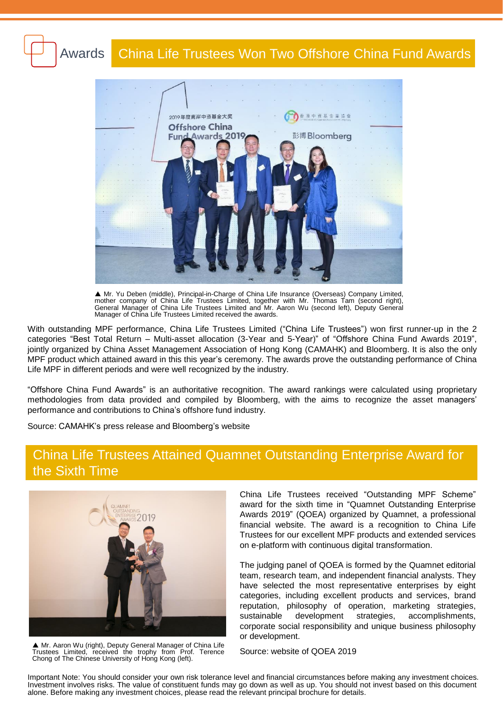#### China Life Trustees Won Two Offshore China Fund Awards Awards



 Mr. Yu Deben (middle), Principal-in-Charge of China Life Insurance (Overseas) Company Limited, mother company of China Life Trustees Limited, together with Mr. Thomas Tam (second right), General Manager of China Life Trustees Limited and Mr. Aaron Wu (second left), Deputy General Manager of China Life Trustees Limited received the awards.

With outstanding MPF performance, China Life Trustees Limited ("China Life Trustees") won first runner-up in the 2 categories "Best Total Return – Multi-asset allocation (3-Year and 5-Year)" of "Offshore China Fund Awards 2019", jointly organized by China Asset Management Association of Hong Kong (CAMAHK) and Bloomberg. It is also the only MPF product which attained award in this this year's ceremony. The awards prove the outstanding performance of China Life MPF in different periods and were well recognized by the industry.

"Offshore China Fund Awards" is an authoritative recognition. The award rankings were calculated using proprietary methodologies from data provided and compiled by Bloomberg, with the aims to recognize the asset managers' performance and contributions to China's offshore fund industry.

Source: CAMAHK's press release and Bloomberg's website

## China Life Trustees Attained Quamnet Outstanding Enterprise Award for the Sixth Time



▲ Mr. Aaron Wu (right), Deputy General Manager of China Life Trustees Limited, received the trophy from Prof. Terence Chong of The Chinese University of Hong Kong (left).

China Life Trustees received "Outstanding MPF Scheme" award for the sixth time in "Quamnet Outstanding Enterprise Awards 2019" (QOEA) organized by Quamnet, a professional financial website. The award is a recognition to China Life Trustees for our excellent MPF products and extended services on e-platform with continuous digital transformation.

The judging panel of QOEA is formed by the Quamnet editorial team, research team, and independent financial analysts. They have selected the most representative enterprises by eight categories, including excellent products and services, brand reputation, philosophy of operation, marketing strategies, sustainable development strategies, accomplishments, corporate social responsibility and unique business philosophy or development.

Source: website of QOEA 2019

Important Note: You should consider your own risk tolerance level and financial circumstances before making any investment choices. Investment involves risks. The value of constituent funds may go down as well as up. You should not invest based on this document alone. Before making any investment choices, please read the relevant principal brochure for details.